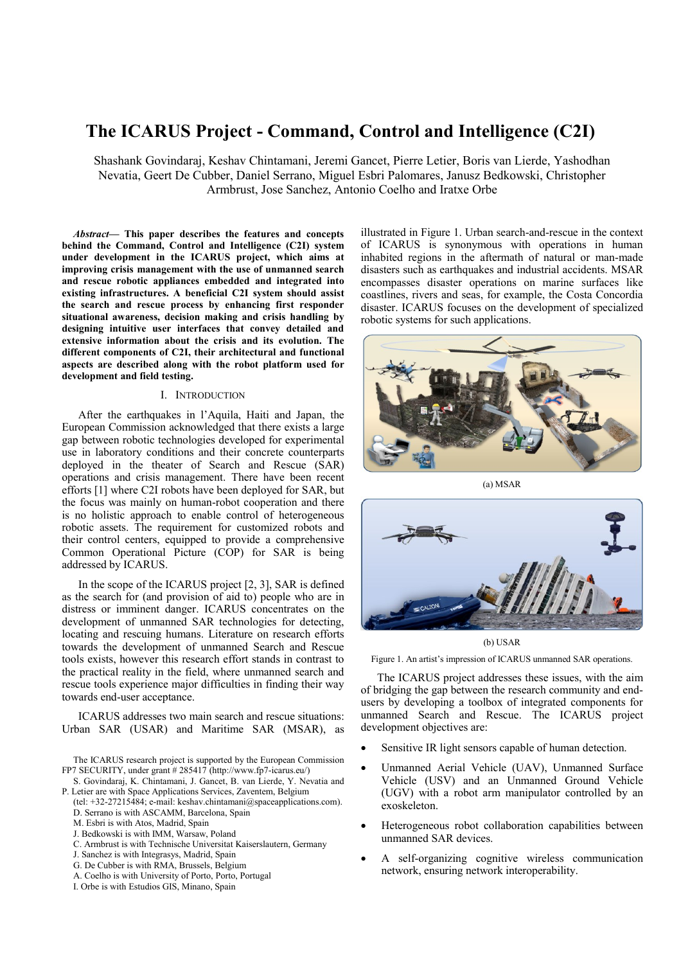# **The ICARUS Project - Command, Control and Intelligence (C2I)**

Shashank Govindaraj, Keshav Chintamani, Jeremi Gancet, Pierre Letier, Boris van Lierde, Yashodhan Nevatia, Geert De Cubber, Daniel Serrano, Miguel Esbri Palomares, Janusz Bedkowski, Christopher Armbrust, Jose Sanchez, Antonio Coelho and Iratxe Orbe

*Abstract***— This paper describes the features and concepts behind the Command, Control and Intelligence (C2I) system under development in the ICARUS project, which aims at improving crisis management with the use of unmanned search and rescue robotic appliances embedded and integrated into existing infrastructures. A beneficial C2I system should assist the search and rescue process by enhancing first responder situational awareness, decision making and crisis handling by designing intuitive user interfaces that convey detailed and extensive information about the crisis and its evolution. The different components of C2I, their architectural and functional aspects are described along with the robot platform used for development and field testing.**

## I. INTRODUCTION

After the earthquakes in l'Aquila, Haiti and Japan, the European Commission acknowledged that there exists a large gap between robotic technologies developed for experimental use in laboratory conditions and their concrete counterparts deployed in the theater of Search and Rescue (SAR) operations and crisis management. There have been recent efforts [1] where C2I robots have been deployed for SAR, but the focus was mainly on human-robot cooperation and there is no holistic approach to enable control of heterogeneous robotic assets. The requirement for customized robots and their control centers, equipped to provide a comprehensive Common Operational Picture (COP) for SAR is being addressed by ICARUS.

In the scope of the ICARUS project [2, 3], SAR is defined as the search for (and provision of aid to) people who are in distress or imminent danger. ICARUS concentrates on the development of unmanned SAR technologies for detecting, locating and rescuing humans. Literature on research efforts towards the development of unmanned Search and Rescue tools exists, however this research effort stands in contrast to the practical reality in the field, where unmanned search and rescue tools experience major difficulties in finding their way towards end-user acceptance.

ICARUS addresses two main search and rescue situations: Urban SAR (USAR) and Maritime SAR (MSAR), as

The ICARUS research project is supported by the European Commission FP7 SECURITY, under grant # 285417 [\(http://www.fp7-icarus.eu/\)](http://www.fp7-icarus.eu/)

S. Govindaraj, K. Chintamani, J. Gancet, B. van Lierde, Y. Nevatia and P. Letier are with Space Applications Services, Zaventem, Belgium

(tel: +32-27215484; e-mail: keshav.chintamani@spaceapplications.com). D. Serrano is with ASCAMM, Barcelona, Spain

- M. Esbri is with Atos, Madrid, Spain
- J. Bedkowski is with IMM, Warsaw, Poland
- C. Armbrust is with Technische Universitat Kaiserslautern, Germany
- J. Sanchez is with Integrasys, Madrid, Spain
- G. De Cubber is with RMA, Brussels, Belgium
- A. Coelho is with University of Porto, Porto, Portugal
- I. Orbe is with Estudios GIS, Minano, Spain

illustrated in Figure 1. Urban search-and-rescue in the context of ICARUS is synonymous with operations in human inhabited regions in the aftermath of natural or man-made disasters such as earthquakes and industrial accidents. MSAR encompasses disaster operations on marine surfaces like coastlines, rivers and seas, for example, the Costa Concordia disaster. ICARUS focuses on the development of specialized robotic systems for such applications.



(a) MSAR



(b) USAR

Figure 1. An artist's impression of ICARUS unmanned SAR operations.

The ICARUS project addresses these issues, with the aim of bridging the gap between the research community and endusers by developing a toolbox of integrated components for unmanned Search and Rescue. The ICARUS project development objectives are:

- Sensitive IR light sensors capable of human detection.
- Unmanned Aerial Vehicle (UAV), Unmanned Surface Vehicle (USV) and an Unmanned Ground Vehicle (UGV) with a robot arm manipulator controlled by an exoskeleton.
- Heterogeneous robot collaboration capabilities between unmanned SAR devices.
- A self-organizing cognitive wireless communication network, ensuring network interoperability.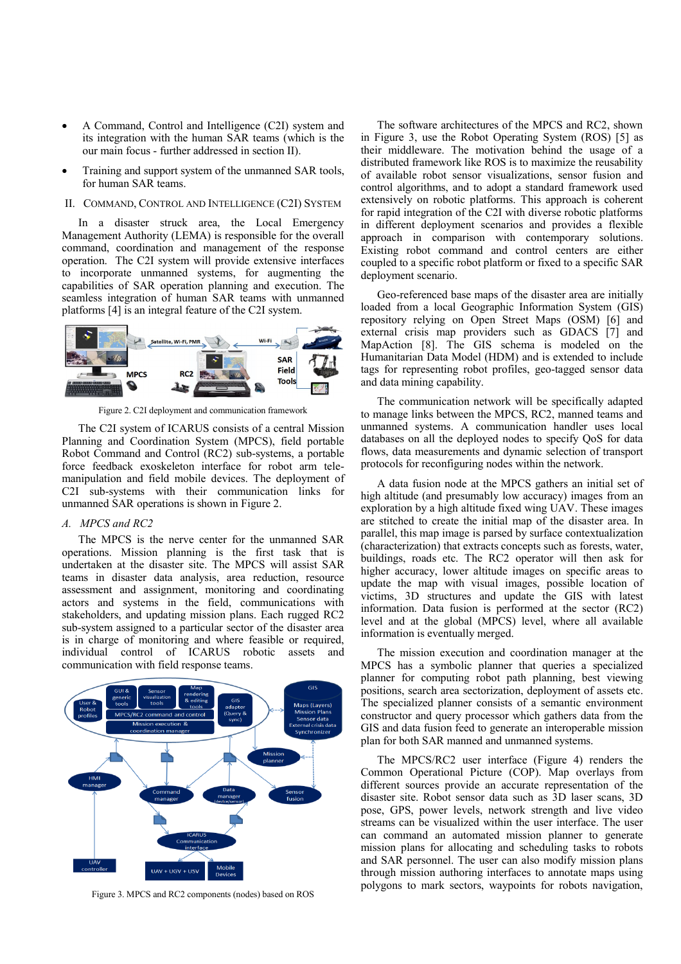- A Command, Control and Intelligence (C2I) system and its integration with the human SAR teams (which is the our main focus - further addressed in section II).
- Training and support system of the unmanned SAR tools, for human SAR teams.

## II. COMMAND, CONTROL AND INTELLIGENCE (C2I) SYSTEM

In a disaster struck area, the Local Emergency Management Authority (LEMA) is responsible for the overall command, coordination and management of the response operation. The C2I system will provide extensive interfaces to incorporate unmanned systems, for augmenting the capabilities of SAR operation planning and execution. The seamless integration of human SAR teams with unmanned platforms [4] is an integral feature of the C2I system.



Figure 2. C2I deployment and communication framework

The C2I system of ICARUS consists of a central Mission Planning and Coordination System (MPCS), field portable Robot Command and Control (RC2) sub-systems, a portable force feedback exoskeleton interface for robot arm telemanipulation and field mobile devices. The deployment of C2I sub-systems with their communication links for unmanned SAR operations is shown in Figure 2.

# *A. MPCS and RC2*

The MPCS is the nerve center for the unmanned SAR operations. Mission planning is the first task that is undertaken at the disaster site. The MPCS will assist SAR teams in disaster data analysis, area reduction, resource assessment and assignment, monitoring and coordinating actors and systems in the field, communications with stakeholders, and updating mission plans. Each rugged RC2 sub-system assigned to a particular sector of the disaster area is in charge of monitoring and where feasible or required, individual control of ICARUS robotic assets and communication with field response teams.



Figure 3. MPCS and RC2 components (nodes) based on ROS

The software architectures of the MPCS and RC2, shown in Figure 3, use the Robot Operating System (ROS) [5] as their middleware. The motivation behind the usage of a distributed framework like ROS is to maximize the reusability of available robot sensor visualizations, sensor fusion and control algorithms, and to adopt a standard framework used extensively on robotic platforms. This approach is coherent for rapid integration of the C2I with diverse robotic platforms in different deployment scenarios and provides a flexible approach in comparison with contemporary solutions. Existing robot command and control centers are either coupled to a specific robot platform or fixed to a specific SAR deployment scenario.

Geo-referenced base maps of the disaster area are initially loaded from a local Geographic Information System (GIS) repository relying on Open Street Maps (OSM) [6] and external crisis map providers such as GDACS [7] and MapAction [8]. The GIS schema is modeled on the Humanitarian Data Model (HDM) and is extended to include tags for representing robot profiles, geo-tagged sensor data and data mining capability.

The communication network will be specifically adapted to manage links between the MPCS, RC2, manned teams and unmanned systems. A communication handler uses local databases on all the deployed nodes to specify QoS for data flows, data measurements and dynamic selection of transport protocols for reconfiguring nodes within the network.

A data fusion node at the MPCS gathers an initial set of high altitude (and presumably low accuracy) images from an exploration by a high altitude fixed wing UAV. These images are stitched to create the initial map of the disaster area. In parallel, this map image is parsed by surface contextualization (characterization) that extracts concepts such as forests, water, buildings, roads etc. The RC2 operator will then ask for higher accuracy, lower altitude images on specific areas to update the map with visual images, possible location of victims, 3D structures and update the GIS with latest information. Data fusion is performed at the sector (RC2) level and at the global (MPCS) level, where all available information is eventually merged.

The mission execution and coordination manager at the MPCS has a symbolic planner that queries a specialized planner for computing robot path planning, best viewing positions, search area sectorization, deployment of assets etc. The specialized planner consists of a semantic environment constructor and query processor which gathers data from the GIS and data fusion feed to generate an interoperable mission plan for both SAR manned and unmanned systems.

The MPCS/RC2 user interface (Figure 4) renders the Common Operational Picture (COP). Map overlays from different sources provide an accurate representation of the disaster site. Robot sensor data such as 3D laser scans, 3D pose, GPS, power levels, network strength and live video streams can be visualized within the user interface. The user can command an automated mission planner to generate mission plans for allocating and scheduling tasks to robots and SAR personnel. The user can also modify mission plans through mission authoring interfaces to annotate maps using polygons to mark sectors, waypoints for robots navigation,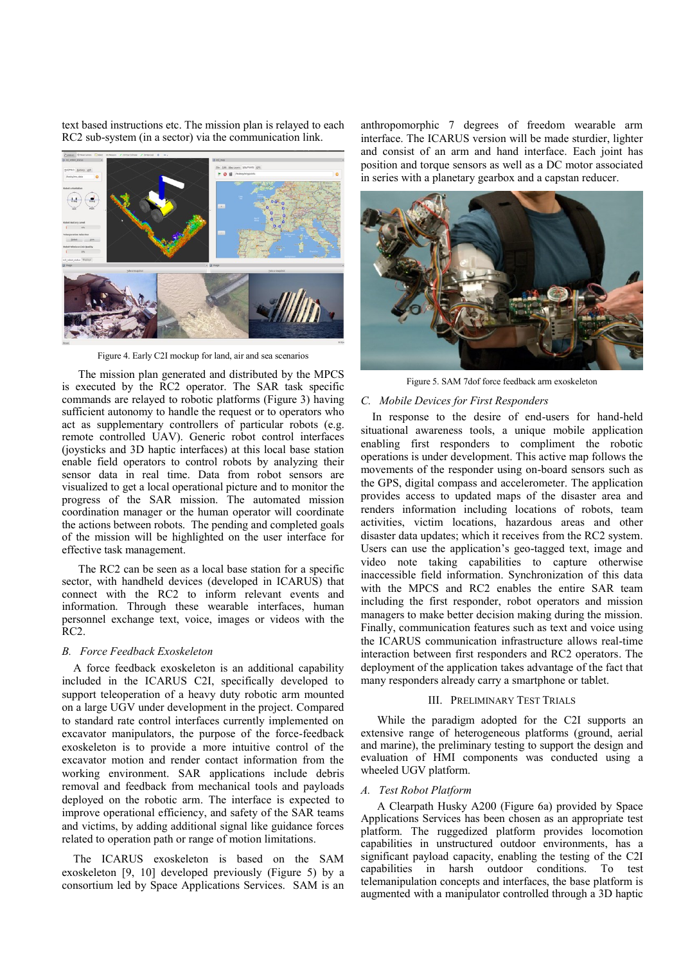text based instructions etc. The mission plan is relayed to each RC2 sub-system (in a sector) via the communication link.



Figure 4. Early C2I mockup for land, air and sea scenarios

The mission plan generated and distributed by the MPCS is executed by the RC2 operator. The SAR task specific commands are relayed to robotic platforms (Figure 3) having sufficient autonomy to handle the request or to operators who act as supplementary controllers of particular robots (e.g. remote controlled UAV). Generic robot control interfaces (joysticks and 3D haptic interfaces) at this local base station enable field operators to control robots by analyzing their sensor data in real time. Data from robot sensors are visualized to get a local operational picture and to monitor the progress of the SAR mission. The automated mission coordination manager or the human operator will coordinate the actions between robots. The pending and completed goals of the mission will be highlighted on the user interface for effective task management.

The RC2 can be seen as a local base station for a specific sector, with handheld devices (developed in ICARUS) that connect with the RC2 to inform relevant events and information. Through these wearable interfaces, human personnel exchange text, voice, images or videos with the RC2.

## *B. Force Feedback Exoskeleton*

A force feedback exoskeleton is an additional capability included in the ICARUS C2I, specifically developed to support teleoperation of a heavy duty robotic arm mounted on a large UGV under development in the project. Compared to standard rate control interfaces currently implemented on excavator manipulators, the purpose of the force-feedback exoskeleton is to provide a more intuitive control of the excavator motion and render contact information from the working environment. SAR applications include debris removal and feedback from mechanical tools and payloads deployed on the robotic arm. The interface is expected to improve operational efficiency, and safety of the SAR teams and victims, by adding additional signal like guidance forces related to operation path or range of motion limitations.

The ICARUS exoskeleton is based on the SAM exoskeleton [9, 10] developed previously (Figure 5) by a consortium led by Space Applications Services. SAM is an anthropomorphic 7 degrees of freedom wearable arm interface. The ICARUS version will be made sturdier, lighter and consist of an arm and hand interface. Each joint has position and torque sensors as well as a DC motor associated in series with a planetary gearbox and a capstan reducer.



Figure 5. SAM 7dof force feedback arm exoskeleton

#### *C. Mobile Devices for First Responders*

In response to the desire of end-users for hand-held situational awareness tools, a unique mobile application enabling first responders to compliment the robotic operations is under development. This active map follows the movements of the responder using on-board sensors such as the GPS, digital compass and accelerometer. The application provides access to updated maps of the disaster area and renders information including locations of robots, team activities, victim locations, hazardous areas and other disaster data updates; which it receives from the RC2 system. Users can use the application's geo-tagged text, image and video note taking capabilities to capture otherwise inaccessible field information. Synchronization of this data with the MPCS and RC2 enables the entire SAR team including the first responder, robot operators and mission managers to make better decision making during the mission. Finally, communication features such as text and voice using the ICARUS communication infrastructure allows real-time interaction between first responders and RC2 operators. The deployment of the application takes advantage of the fact that many responders already carry a smartphone or tablet.

#### III. PRELIMINARY TEST TRIALS

While the paradigm adopted for the C2I supports an extensive range of heterogeneous platforms (ground, aerial and marine), the preliminary testing to support the design and evaluation of HMI components was conducted using a wheeled UGV platform.

### *A. Test Robot Platform*

A Clearpath Husky A200 (Figure 6a) provided by Space Applications Services has been chosen as an appropriate test platform. The ruggedized platform provides locomotion capabilities in unstructured outdoor environments, has a significant payload capacity, enabling the testing of the C2I capabilities in harsh outdoor conditions. To test telemanipulation concepts and interfaces, the base platform is augmented with a manipulator controlled through a 3D haptic